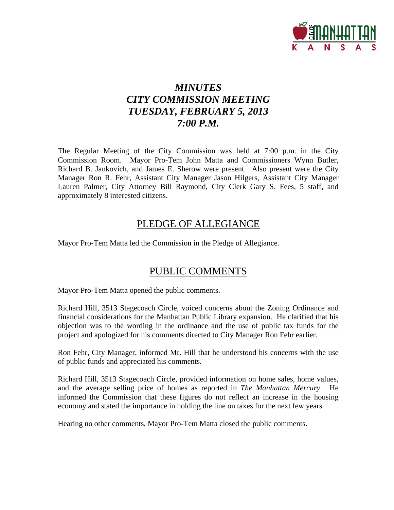

# *MINUTES CITY COMMISSION MEETING TUESDAY, FEBRUARY 5, 2013 7:00 P.M.*

The Regular Meeting of the City Commission was held at 7:00 p.m. in the City Commission Room. Mayor Pro-Tem John Matta and Commissioners Wynn Butler, Richard B. Jankovich, and James E. Sherow were present. Also present were the City Manager Ron R. Fehr, Assistant City Manager Jason Hilgers, Assistant City Manager Lauren Palmer, City Attorney Bill Raymond, City Clerk Gary S. Fees, 5 staff, and approximately 8 interested citizens.

# PLEDGE OF ALLEGIANCE

Mayor Pro-Tem Matta led the Commission in the Pledge of Allegiance.

# PUBLIC COMMENTS

Mayor Pro-Tem Matta opened the public comments.

Richard Hill, 3513 Stagecoach Circle, voiced concerns about the Zoning Ordinance and financial considerations for the Manhattan Public Library expansion. He clarified that his objection was to the wording in the ordinance and the use of public tax funds for the project and apologized for his comments directed to City Manager Ron Fehr earlier.

Ron Fehr, City Manager, informed Mr. Hill that he understood his concerns with the use of public funds and appreciated his comments.

Richard Hill, 3513 Stagecoach Circle, provided information on home sales, home values, and the average selling price of homes as reported in *The Manhattan Mercury*. He informed the Commission that these figures do not reflect an increase in the housing economy and stated the importance in holding the line on taxes for the next few years.

Hearing no other comments, Mayor Pro-Tem Matta closed the public comments.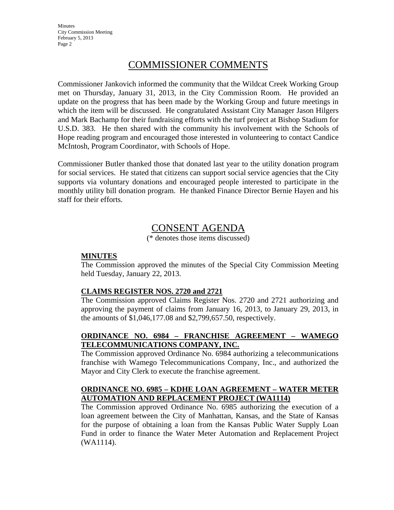**Minutes** City Commission Meeting February 5, 2013 Page 2

# COMMISSIONER COMMENTS

Commissioner Jankovich informed the community that the Wildcat Creek Working Group met on Thursday, January 31, 2013, in the City Commission Room. He provided an update on the progress that has been made by the Working Group and future meetings in which the item will be discussed. He congratulated Assistant City Manager Jason Hilgers and Mark Bachamp for their fundraising efforts with the turf project at Bishop Stadium for U.S.D. 383. He then shared with the community his involvement with the Schools of Hope reading program and encouraged those interested in volunteering to contact Candice McIntosh, Program Coordinator, with Schools of Hope.

Commissioner Butler thanked those that donated last year to the utility donation program for social services. He stated that citizens can support social service agencies that the City supports via voluntary donations and encouraged people interested to participate in the monthly utility bill donation program. He thanked Finance Director Bernie Hayen and his staff for their efforts.

# CONSENT AGENDA

(\* denotes those items discussed)

### **MINUTES**

The Commission approved the minutes of the Special City Commission Meeting held Tuesday, January 22, 2013.

### **CLAIMS REGISTER NOS. 2720 and 2721**

The Commission approved Claims Register Nos. 2720 and 2721 authorizing and approving the payment of claims from January 16, 2013, to January 29, 2013, in the amounts of \$1,046,177.08 and \$2,799,657.50, respectively.

## **ORDINANCE NO. 6984 – FRANCHISE AGREEMENT – WAMEGO TELECOMMUNICATIONS COMPANY, INC.**

The Commission approved Ordinance No. 6984 authorizing a telecommunications franchise with Wamego Telecommunications Company, Inc., and authorized the Mayor and City Clerk to execute the franchise agreement.

## **ORDINANCE NO. 6985 – KDHE LOAN AGREEMENT – WATER METER AUTOMATION AND REPLACEMENT PROJECT (WA1114)**

The Commission approved Ordinance No. 6985 authorizing the execution of a loan agreement between the City of Manhattan, Kansas, and the State of Kansas for the purpose of obtaining a loan from the Kansas Public Water Supply Loan Fund in order to finance the Water Meter Automation and Replacement Project (WA1114).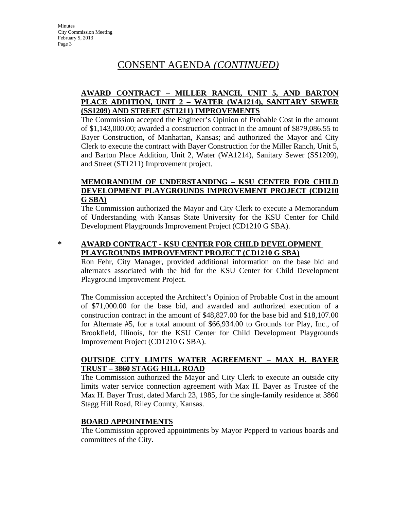# CONSENT AGENDA *(CONTINUED)*

# **AWARD CONTRACT – MILLER RANCH, UNIT 5, AND BARTON PLACE ADDITION, UNIT 2 – WATER (WA1214), SANITARY SEWER (SS1209) AND STREET (ST1211) IMPROVEMENTS**

The Commission accepted the Engineer's Opinion of Probable Cost in the amount of \$1,143,000.00; awarded a construction contract in the amount of \$879,086.55 to Bayer Construction, of Manhattan, Kansas; and authorized the Mayor and City Clerk to execute the contract with Bayer Construction for the Miller Ranch, Unit 5, and Barton Place Addition, Unit 2, Water (WA1214), Sanitary Sewer (SS1209), and Street (ST1211) Improvement project.

## **MEMORANDUM OF UNDERSTANDING – KSU CENTER FOR CHILD DEVELOPMENT PLAYGROUNDS IMPROVEMENT PROJECT (CD1210 G SBA)**

The Commission authorized the Mayor and City Clerk to execute a Memorandum of Understanding with Kansas State University for the KSU Center for Child Development Playgrounds Improvement Project (CD1210 G SBA).

# **\* AWARD CONTRACT - KSU CENTER FOR CHILD DEVELOPMENT PLAYGROUNDS IMPROVEMENT PROJECT (CD1210 G SBA)**

Ron Fehr, City Manager, provided additional information on the base bid and alternates associated with the bid for the KSU Center for Child Development Playground Improvement Project.

The Commission accepted the Architect's Opinion of Probable Cost in the amount of \$71,000.00 for the base bid, and awarded and authorized execution of a construction contract in the amount of \$48,827.00 for the base bid and \$18,107.00 for Alternate #5, for a total amount of \$66,934.00 to Grounds for Play, Inc., of Brookfield, Illinois, for the KSU Center for Child Development Playgrounds Improvement Project (CD1210 G SBA).

# **OUTSIDE CITY LIMITS WATER AGREEMENT – MAX H. BAYER TRUST – 3860 STAGG HILL ROAD**

The Commission authorized the Mayor and City Clerk to execute an outside city limits water service connection agreement with Max H. Bayer as Trustee of the Max H. Bayer Trust, dated March 23, 1985, for the single-family residence at 3860 Stagg Hill Road, Riley County, Kansas.

# **BOARD APPOINTMENTS**

The Commission approved appointments by Mayor Pepperd to various boards and committees of the City.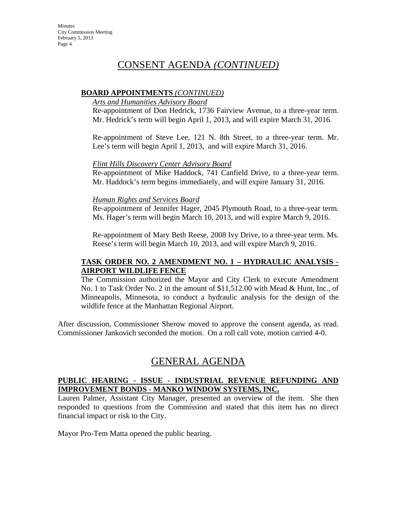# CONSENT AGENDA *(CONTINUED)*

### **BOARD APPOINTMENTS** *(CONTINUED)*

### *Arts and Humanities Advisory Board*

Re-appointment of Don Hedrick, 1736 Fairview Avenue, to a three-year term. Mr. Hedrick's term will begin April 1, 2013, and will expire March 31, 2016.

Re-appointment of Steve Lee, 121 N. 8th Street, to a three-year term. Mr. Lee's term will begin April 1, 2013, and will expire March 31, 2016.

### *Flint Hills Discovery Center Advisory Board*

Re-appointment of Mike Haddock, 741 Canfield Drive, to a three-year term. Mr. Haddock's term begins immediately, and will expire January 31, 2016.

### *Human Rights and Services Board*

Re-appointment of Jennifer Hager, 2045 Plymouth Road, to a three-year term. Ms. Hager's term will begin March 10, 2013, and will expire March 9, 2016.

Re-appointment of Mary Beth Reese, 2008 Ivy Drive, to a three-year term. Ms. Reese's term will begin March 10, 2013, and will expire March 9, 2016.

## **TASK ORDER NO. 2 AMENDMENT NO. 1 – HYDRAULIC ANALYSIS - AIRPORT WILDLIFE FENCE**

The Commission authorized the Mayor and City Clerk to execute Amendment No. 1 to Task Order No. 2 in the amount of \$11,512.00 with Mead & Hunt, Inc., of Minneapolis, Minnesota, to conduct a hydraulic analysis for the design of the wildlife fence at the Manhattan Regional Airport.

After discussion, Commissioner Sherow moved to approve the consent agenda, as read. Commissioner Jankovich seconded the motion. On a roll call vote, motion carried 4-0.

# GENERAL AGENDA

## **PUBLIC HEARING - ISSUE - INDUSTRIAL REVENUE REFUNDING AND IMPROVEMENT BONDS - MANKO WINDOW SYSTEMS, INC.**

Lauren Palmer, Assistant City Manager, presented an overview of the item. She then responded to questions from the Commission and stated that this item has no direct financial impact or risk to the City.

Mayor Pro-Tem Matta opened the public hearing.